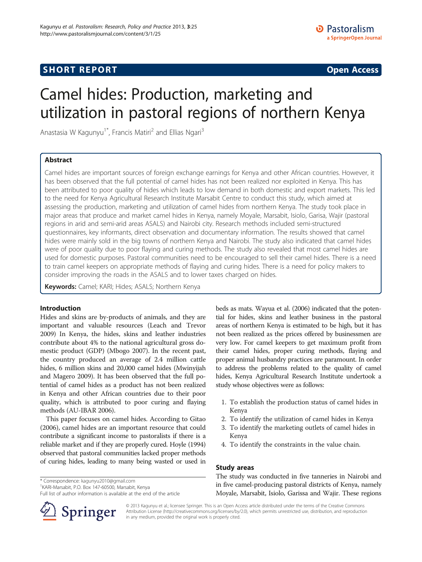# Camel hides: Production, marketing and utilization in pastoral regions of northern Kenya

Anastasia W Kagunyu<sup>1\*</sup>, Francis Matiri<sup>2</sup> and Ellias Ngari<sup>3</sup>

## Abstract

Camel hides are important sources of foreign exchange earnings for Kenya and other African countries. However, it has been observed that the full potential of camel hides has not been realized nor exploited in Kenya. This has been attributed to poor quality of hides which leads to low demand in both domestic and export markets. This led to the need for Kenya Agricultural Research Institute Marsabit Centre to conduct this study, which aimed at assessing the production, marketing and utilization of camel hides from northern Kenya. The study took place in major areas that produce and market camel hides in Kenya, namely Moyale, Marsabit, Isiolo, Garisa, Wajir (pastoral regions in arid and semi-arid areas ASALS) and Nairobi city. Research methods included semi-structured questionnaires, key informants, direct observation and documentary information. The results showed that camel hides were mainly sold in the big towns of northern Kenya and Nairobi. The study also indicated that camel hides were of poor quality due to poor flaying and curing methods. The study also revealed that most camel hides are used for domestic purposes. Pastoral communities need to be encouraged to sell their camel hides. There is a need to train camel keepers on appropriate methods of flaying and curing hides. There is a need for policy makers to consider improving the roads in the ASALS and to lower taxes charged on hides.

Keywords: Camel; KARI; Hides; ASALS; Northern Kenya

## Introduction

Hides and skins are by-products of animals, and they are important and valuable resources (Leach and Trevor [2009\)](#page-2-0) In Kenya, the hides, skins and leather industries contribute about 4% to the national agricultural gross domestic product (GDP) (Mbogo [2007\)](#page-2-0). In the recent past, the country produced an average of 2.4 million cattle hides, 6 million skins and 20,000 camel hides (Mwinyijah and Magero [2009](#page-2-0)). It has been observed that the full potential of camel hides as a product has not been realized in Kenya and other African countries due to their poor quality, which is attributed to poor curing and flaying methods (AU-IBAR [2006\)](#page-2-0).

This paper focuses on camel hides. According to Gitao ([2006](#page-2-0)), camel hides are an important resource that could contribute a significant income to pastoralists if there is a reliable market and if they are properly cured. Hoyle [\(1994](#page-2-0)) observed that pastoral communities lacked proper methods of curing hides, leading to many being wasted or used in

\* Correspondence: [kagunyu2010@gmail.com](mailto:kagunyu2010@gmail.com) <sup>1</sup>

<sup>1</sup>KARI-Marsabit, P.O. Box 147-60500, Marsabit, Kenya

Full list of author information is available at the end of the article

beds as mats. Wayua et al. ([2006](#page-2-0)) indicated that the potential for hides, skins and leather business in the pastoral areas of northern Kenya is estimated to be high, but it has not been realized as the prices offered by businessmen are very low. For camel keepers to get maximum profit from their camel hides, proper curing methods, flaying and proper animal husbandry practices are paramount. In order to address the problems related to the quality of camel hides, Kenya Agricultural Research Institute undertook a study whose objectives were as follows:

- 1. To establish the production status of camel hides in Kenya
- 2. To identify the utilization of camel hides in Kenya
- 3. To identify the marketing outlets of camel hides in Kenya
- 4. To identify the constraints in the value chain.

## Study areas

The study was conducted in five tanneries in Nairobi and in five camel-producing pastoral districts of Kenya, namely Moyale, Marsabit, Isiolo, Garissa and Wajir. These regions



© 2013 Kagunyu et al.; licensee Springer. This is an Open Access article distributed under the terms of the Creative Commons Attribution License [\(http://creativecommons.org/licenses/by/2.0\)](http://creativecommons.org/licenses/by/2.0), which permits unrestricted use, distribution, and reproduction in any medium, provided the original work is properly cited.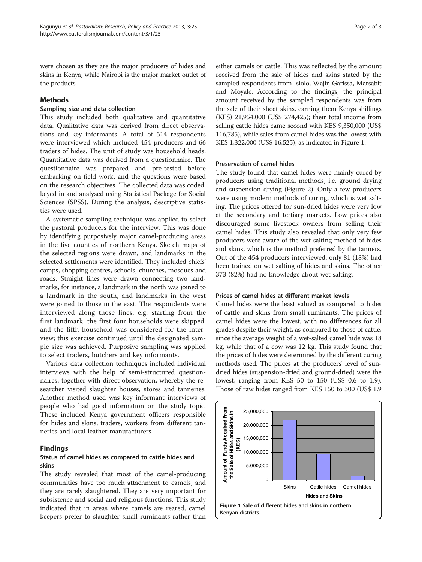were chosen as they are the major producers of hides and skins in Kenya, while Nairobi is the major market outlet of the products.

## Methods

#### Sampling size and data collection

This study included both qualitative and quantitative data. Qualitative data was derived from direct observations and key informants. A total of 514 respondents were interviewed which included 454 producers and 66 traders of hides. The unit of study was household heads. Quantitative data was derived from a questionnaire. The questionnaire was prepared and pre-tested before embarking on field work, and the questions were based on the research objectives. The collected data was coded, keyed in and analysed using Statistical Package for Social Sciences (SPSS). During the analysis, descriptive statistics were used.

A systematic sampling technique was applied to select the pastoral producers for the interview. This was done by identifying purposively major camel-producing areas in the five counties of northern Kenya. Sketch maps of the selected regions were drawn, and landmarks in the selected settlements were identified. They included chiefs' camps, shopping centres, schools, churches, mosques and roads. Straight lines were drawn connecting two landmarks, for instance, a landmark in the north was joined to a landmark in the south, and landmarks in the west were joined to those in the east. The respondents were interviewed along those lines, e.g. starting from the first landmark, the first four households were skipped, and the fifth household was considered for the interview; this exercise continued until the designated sample size was achieved. Purposive sampling was applied to select traders, butchers and key informants.

Various data collection techniques included individual interviews with the help of semi-structured questionnaires, together with direct observation, whereby the researcher visited slaughter houses, stores and tanneries. Another method used was key informant interviews of people who had good information on the study topic. These included Kenya government officers responsible for hides and skins, traders, workers from different tanneries and local leather manufacturers.

## Findings

## Status of camel hides as compared to cattle hides and skins

The study revealed that most of the camel-producing communities have too much attachment to camels, and they are rarely slaughtered. They are very important for subsistence and social and religious functions. This study indicated that in areas where camels are reared, camel keepers prefer to slaughter small ruminants rather than

either camels or cattle. This was reflected by the amount received from the sale of hides and skins stated by the sampled respondents from Isiolo, Wajir, Garissa, Marsabit and Moyale. According to the findings, the principal amount received by the sampled respondents was from the sale of their shoat skins, earning them Kenya shillings (KES) 21,954,000 (US\$ 274,425); their total income from selling cattle hides came second with KES 9,350,000 (US\$ 116,785), while sales from camel hides was the lowest with KES 1,322,000 (US\$ 16,525), as indicated in Figure 1.

## Preservation of camel hides

The study found that camel hides were mainly cured by producers using traditional methods, i.e. ground drying and suspension drying (Figure [2](#page-2-0)). Only a few producers were using modern methods of curing, which is wet salting. The prices offered for sun-dried hides were very low at the secondary and tertiary markets. Low prices also discouraged some livestock owners from selling their camel hides. This study also revealed that only very few producers were aware of the wet salting method of hides and skins, which is the method preferred by the tanners. Out of the 454 producers interviewed, only 81 (18%) had been trained on wet salting of hides and skins. The other 373 (82%) had no knowledge about wet salting.

#### Prices of camel hides at different market levels

Camel hides were the least valued as compared to hides of cattle and skins from small ruminants. The prices of camel hides were the lowest, with no differences for all grades despite their weight, as compared to those of cattle, since the average weight of a wet-salted camel hide was 18 kg, while that of a cow was 12 kg. This study found that the prices of hides were determined by the different curing methods used. The prices at the producers' level of sundried hides (suspension-dried and ground-dried) were the lowest, ranging from KES 50 to 150 (US\$ 0.6 to 1.9). Those of raw hides ranged from KES 150 to 300 (US\$ 1.9